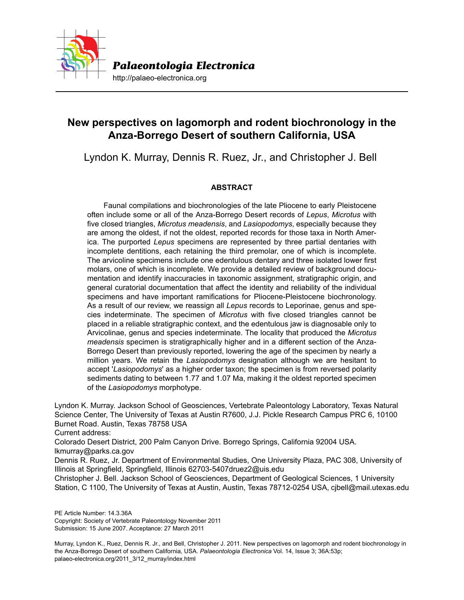

http://palaeo-electronica.org

# **New perspectives on lagomorph and rodent biochronology in the Anza-Borrego Desert of southern California, USA**

Lyndon K. Murray, Dennis R. Ruez, Jr., and Christopher J. Bell

## **ABSTRACT**

Faunal compilations and biochronologies of the late Pliocene to early Pleistocene often include some or all of the Anza-Borrego Desert records of *Lepus*, *Microtus* with five closed triangles, *Microtus meadensis*, and *Lasiopodomys*, especially because they are among the oldest, if not the oldest, reported records for those taxa in North America. The purported *Lepus* specimens are represented by three partial dentaries with incomplete dentitions, each retaining the third premolar, one of which is incomplete. The arvicoline specimens include one edentulous dentary and three isolated lower first molars, one of which is incomplete. We provide a detailed review of background documentation and identify inaccuracies in taxonomic assignment, stratigraphic origin, and general curatorial documentation that affect the identity and reliability of the individual specimens and have important ramifications for Pliocene-Pleistocene biochronology. As a result of our review, we reassign all *Lepus* records to Leporinae, genus and species indeterminate. The specimen of *Microtus* with five closed triangles cannot be placed in a reliable stratigraphic context, and the edentulous jaw is diagnosable only to Arvicolinae, genus and species indeterminate. The locality that produced the *Microtus meadensis* specimen is stratigraphically higher and in a different section of the Anza-Borrego Desert than previously reported, lowering the age of the specimen by nearly a million years. We retain the *Lasiopodomys* designation although we are hesitant to accept '*Lasiopodomys*' as a higher order taxon; the specimen is from reversed polarity sediments dating to between 1.77 and 1.07 Ma, making it the oldest reported specimen of the *Lasiopodomys* morphotype.

Lyndon K. Murray. Jackson School of Geosciences, Vertebrate Paleontology Laboratory, Texas Natural Science Center, The University of Texas at Austin R7600, J.J. Pickle Research Campus PRC 6, 10100 Burnet Road. Austin, Texas 78758 USA

Current address:

Colorado Desert District, 200 Palm Canyon Drive. Borrego Springs, California 92004 USA. lkmurray@parks.ca.gov

Dennis R. Ruez, Jr. Department of Environmental Studies, One University Plaza, PAC 308, University of Illinois at Springfield, Springfield, Illinois 62703-5407druez2@uis.edu

Christopher J. Bell. Jackson School of Geosciences, Department of Geological Sciences, 1 University Station, C 1100, The University of Texas at Austin, Austin, Texas 78712-0254 USA, cjbell@mail.utexas.edu

PE Article Number: 14.3.36A Copyright: Society of Vertebrate Paleontology November 2011 Submission: 15 June 2007. Acceptance: 27 March 2011

Murray, Lyndon K., Ruez, Dennis R. Jr., and Bell, Christopher J. 2011. New perspectives on lagomorph and rodent biochronology in the Anza-Borrego Desert of southern California, USA. *Palaeontologia Electronica* Vol. 14, Issue 3; 36A:53p; palaeo-electronica.org/2011\_3/12\_murray/index.html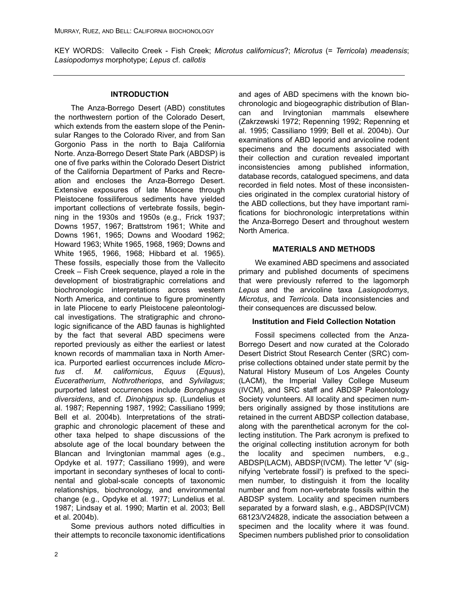KEY WORDS: Vallecito Creek - Fish Creek; *Microtus californicus*?; *Microtus* (= *Terricola*) *meadensis*; *Lasiopodomys* morphotype; *Lepus* cf. *callotis*

## **INTRODUCTION**

The Anza-Borrego Desert (ABD) constitutes the northwestern portion of the Colorado Desert, which extends from the eastern slope of the Peninsular Ranges to the Colorado River, and from San Gorgonio Pass in the north to Baja California Norte. Anza-Borrego Desert State Park (ABDSP) is one of five parks within the Colorado Desert District of the California Department of Parks and Recreation and encloses the Anza-Borrego Desert. Extensive exposures of late Miocene through Pleistocene fossiliferous sediments have yielded important collections of vertebrate fossils, beginning in the 1930s and 1950s (e.g., Frick 1937; Downs 1957, 1967; Brattstrom 1961; White and Downs 1961, 1965; Downs and Woodard 1962; Howard 1963; White 1965, 1968, 1969; Downs and White 1965, 1966, 1968; Hibbard et al. 1965). These fossils, especially those from the Vallecito Creek – Fish Creek sequence, played a role in the development of biostratigraphic correlations and biochronologic interpretations across western North America, and continue to figure prominently in late Pliocene to early Pleistocene paleontological investigations. The stratigraphic and chronologic significance of the ABD faunas is highlighted by the fact that several ABD specimens were reported previously as either the earliest or latest known records of mammalian taxa in North America. Purported earliest occurrences include *Microtus* cf. *M. californicus*, *Equus* (*Equus*), *Euceratherium*, *Nothrotheriops*, and *Sylvilagus*; purported latest occurrences include *Borophagus diversidens*, and cf. *Dinohippus* sp. (Lundelius et al. 1987; Repenning 1987, 1992; Cassiliano 1999; Bell et al. 2004b). Interpretations of the stratigraphic and chronologic placement of these and other taxa helped to shape discussions of the absolute age of the local boundary between the Blancan and Irvingtonian mammal ages (e.g., Opdyke et al. 1977; Cassiliano 1999), and were important in secondary syntheses of local to continental and global-scale concepts of taxonomic relationships, biochronology, and environmental change (e.g., Opdyke et al. 1977; Lundelius et al. 1987; Lindsay et al. 1990; Martin et al. 2003; Bell et al. 2004b).

Some previous authors noted difficulties in their attempts to reconcile taxonomic identifications and ages of ABD specimens with the known biochronologic and biogeographic distribution of Blancan and Irvingtonian mammals elsewhere (Zakrzewski 1972; Repenning 1992; Repenning et al. 1995; Cassiliano 1999; Bell et al. 2004b). Our examinations of ABD leporid and arvicoline rodent specimens and the documents associated with their collection and curation revealed important inconsistencies among published information, database records, catalogued specimens, and data recorded in field notes. Most of these inconsistencies originated in the complex curatorial history of the ABD collections, but they have important ramifications for biochronologic interpretations within the Anza-Borrego Desert and throughout western North America.

## **MATERIALS AND METHODS**

We examined ABD specimens and associated primary and published documents of specimens that were previously referred to the lagomorph *Lepus* and the arvicoline taxa *Lasiopodomys*, *Microtus*, and *Terricola*. Data inconsistencies and their consequences are discussed below.

## **Institution and Field Collection Notation**

Fossil specimens collected from the Anza-Borrego Desert and now curated at the Colorado Desert District Stout Research Center (SRC) comprise collections obtained under state permit by the Natural History Museum of Los Angeles County (LACM), the Imperial Valley College Museum (IVCM), and SRC staff and ABDSP Paleontology Society volunteers. All locality and specimen numbers originally assigned by those institutions are retained in the current ABDSP collection database, along with the parenthetical acronym for the collecting institution. The Park acronym is prefixed to the original collecting institution acronym for both the locality and specimen numbers, e.g., ABDSP(LACM), ABDSP(IVCM). The letter 'V' (signifying 'vertebrate fossil') is prefixed to the specimen number, to distinguish it from the locality number and from non-vertebrate fossils within the ABDSP system. Locality and specimen numbers separated by a forward slash, e.g., ABDSP(IVCM) 68123/V24828, indicate the association between a specimen and the locality where it was found. Specimen numbers published prior to consolidation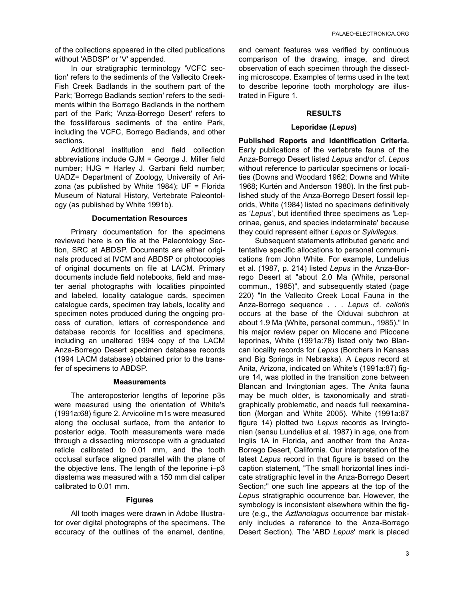of the collections appeared in the cited publications without 'ABDSP' or 'V' appended.

In our stratigraphic terminology 'VCFC section' refers to the sediments of the Vallecito Creek-Fish Creek Badlands in the southern part of the Park; 'Borrego Badlands section' refers to the sediments within the Borrego Badlands in the northern part of the Park; 'Anza-Borrego Desert' refers to the fossiliferous sediments of the entire Park, including the VCFC, Borrego Badlands, and other sections.

Additional institution and field collection abbreviations include GJM = George J. Miller field number; HJG = Harley J. Garbani field number; UADZ= Department of Zoology, University of Arizona (as published by White 1984);  $UF = Florida$ Museum of Natural History, Vertebrate Paleontology (as published by White 1991b).

## **Documentation Resources**

Primary documentation for the specimens reviewed here is on file at the Paleontology Section, SRC at ABDSP. Documents are either originals produced at IVCM and ABDSP or photocopies of original documents on file at LACM. Primary documents include field notebooks, field and master aerial photographs with localities pinpointed and labeled, locality catalogue cards, specimen catalogue cards, specimen tray labels, locality and specimen notes produced during the ongoing process of curation, letters of correspondence and database records for localities and specimens, including an unaltered 1994 copy of the LACM Anza-Borrego Desert specimen database records (1994 LACM database) obtained prior to the transfer of specimens to ABDSP.

## **Measurements**

The anteroposterior lengths of leporine p3s were measured using the orientation of White's (1991a:68) figure 2. Arvicoline m1s were measured along the occlusal surface, from the anterior to posterior edge. Tooth measurements were made through a dissecting microscope with a graduated reticle calibrated to 0.01 mm, and the tooth occlusal surface aligned parallel with the plane of the objective lens. The length of the leporine i–p3 diastema was measured with a 150 mm dial caliper calibrated to 0.01 mm.

## **Figures**

All tooth images were drawn in Adobe Illustrator over digital photographs of the specimens. The accuracy of the outlines of the enamel, dentine,

and cement features was verified by continuous comparison of the drawing, image, and direct observation of each specimen through the dissecting microscope. Examples of terms used in the text to describe leporine tooth morphology are illustrated in Figure 1.

## **RESULTS**

## **Leporidae (***Lepus***)**

**Published Reports and Identification Criteria.** Early publications of the vertebrate fauna of the Anza-Borrego Desert listed *Lepus* and/or cf. *Lepus* without reference to particular specimens or localities (Downs and Woodard 1962; Downs and White 1968; Kurtén and Anderson 1980). In the first published study of the Anza-Borrego Desert fossil leporids, White (1984) listed no specimens definitively as '*Lepus*', but identified three specimens as 'Leporinae, genus, and species indeterminate' because they could represent either *Lepus* or *Sylvilagus*.

Subsequent statements attributed generic and tentative specific allocations to personal communications from John White. For example, Lundelius et al. (1987, p. 214) listed *Lepus* in the Anza-Borrego Desert at "about 2.0 Ma (White, personal commun., 1985)", and subsequently stated (page 220) "In the Vallecito Creek Local Fauna in the Anza-Borrego sequence . . . *Lepus* cf. *callotis* occurs at the base of the Olduvai subchron at about 1.9 Ma (White, personal commun., 1985)." In his major review paper on Miocene and Pliocene leporines, White (1991a:78) listed only two Blancan locality records for *Lepus* (Borchers in Kansas and Big Springs in Nebraska). A *Lepus* record at Anita, Arizona, indicated on White's (1991a:87) figure 14, was plotted in the transition zone between Blancan and Irvingtonian ages. The Anita fauna may be much older, is taxonomically and stratigraphically problematic, and needs full reexamination (Morgan and White 2005). White (1991a:87 figure 14) plotted two *Lepus* records as Irvingtonian (sensu Lundelius et al. 1987) in age, one from Inglis 1A in Florida, and another from the Anza-Borrego Desert, California. Our interpretation of the latest *Lepus* record in that figure is based on the caption statement, "The small horizontal lines indicate stratigraphic level in the Anza-Borrego Desert Section;" one such line appears at the top of the *Lepus* stratigraphic occurrence bar. However, the symbology is inconsistent elsewhere within the figure (e.g., the *Aztlanolagus* occurrence bar mistakenly includes a reference to the Anza-Borrego Desert Section). The 'ABD *Lepus*' mark is placed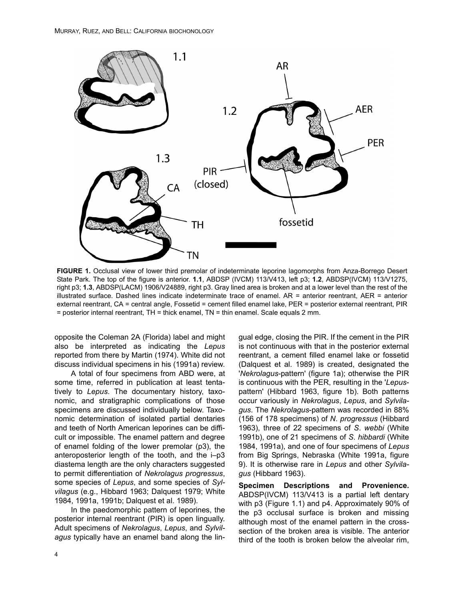

**FIGURE 1.** Occlusal view of lower third premolar of indeterminate leporine lagomorphs from Anza-Borrego Desert State Park. The top of the figure is anterior. **1.1**, ABDSP (IVCM) 113/V413, left p3; **1.2**, ABDSP(IVCM) 113/V1275, right p3; **1.3**, ABDSP(LACM) 1906/V24889, right p3. Gray lined area is broken and at a lower level than the rest of the illustrated surface. Dashed lines indicate indeterminate trace of enamel. AR = anterior reentrant, AER = anterior external reentrant, CA = central angle, Fossetid = cement filled enamel lake, PER = posterior external reentrant, PIR = posterior internal reentrant, TH = thick enamel, TN = thin enamel. Scale equals 2 mm.

opposite the Coleman 2A (Florida) label and might also be interpreted as indicating the *Lepus* reported from there by Martin (1974). White did not discuss individual specimens in his (1991a) review.

A total of four specimens from ABD were, at some time, referred in publication at least tentatively to *Lepus*. The documentary history, taxonomic, and stratigraphic complications of those specimens are discussed individually below. Taxonomic determination of isolated partial dentaries and teeth of North American leporines can be difficult or impossible. The enamel pattern and degree of enamel folding of the lower premolar (p3), the anteroposterior length of the tooth, and the i–p3 diastema length are the only characters suggested to permit differentiation of *Nekrolagus progressus*, some species of *Lepus*, and some species of *Sylvilagus* (e.g., Hibbard 1963; Dalquest 1979; White 1984, 1991a, 1991b; Dalquest et al. 1989).

In the paedomorphic pattern of leporines, the posterior internal reentrant (PIR) is open lingually. Adult specimens of *Nekrolagus*, *Lepus*, and *Sylvilagus* typically have an enamel band along the lingual edge, closing the PIR. If the cement in the PIR is not continuous with that in the posterior external reentrant, a cement filled enamel lake or fossetid (Dalquest et al. 1989) is created, designated the '*Nekrolagus*-pattern' (figure 1a); otherwise the PIR is continuous with the PER, resulting in the '*Lepus*pattern' (Hibbard 1963, figure 1b). Both patterns occur variously in *Nekrolagus*, *Lepus*, and *Sylvilagus*. The *Nekrolagus*-pattern was recorded in 88% (156 of 178 specimens) of *N*. *progressus* (Hibbard 1963), three of 22 specimens of *S*. *webbi* (White 1991b), one of 21 specimens of *S*. *hibbardi* (White 1984, 1991a), and one of four specimens of *Lepus* from Big Springs, Nebraska (White 1991a, figure 9). It is otherwise rare in *Lepus* and other *Sylvilagus* (Hibbard 1963).

**Specimen Descriptions and Provenience.** ABDSP(IVCM) 113/V413 is a partial left dentary with p3 (Figure 1.1) and p4. Approximately 90% of the p3 occlusal surface is broken and missing although most of the enamel pattern in the crosssection of the broken area is visible. The anterior third of the tooth is broken below the alveolar rim,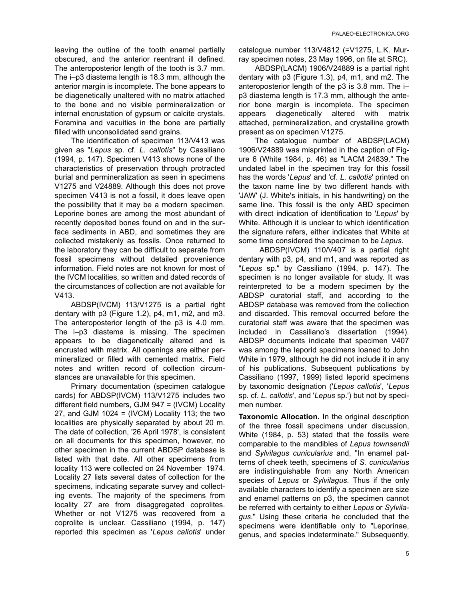leaving the outline of the tooth enamel partially obscured, and the anterior reentrant ill defined. The anteroposterior length of the tooth is 3.7 mm. The i–p3 diastema length is 18.3 mm, although the anterior margin is incomplete. The bone appears to be diagenetically unaltered with no matrix attached to the bone and no visible permineralization or internal encrustation of gypsum or calcite crystals. Foramina and vacuities in the bone are partially filled with unconsolidated sand grains.

The identification of specimen 113/V413 was given as "*Lepus* sp. cf. *L*. *callotis*" by Cassiliano (1994, p. 147). Specimen V413 shows none of the characteristics of preservation through protracted burial and permineralization as seen in specimens V1275 and V24889. Although this does not prove specimen V413 is not a fossil, it does leave open the possibility that it may be a modern specimen. Leporine bones are among the most abundant of recently deposited bones found on and in the surface sediments in ABD, and sometimes they are collected mistakenly as fossils. Once returned to the laboratory they can be difficult to separate from fossil specimens without detailed provenience information. Field notes are not known for most of the IVCM localities, so written and dated records of the circumstances of collection are not available for V413.

ABDSP(IVCM) 113/V1275 is a partial right dentary with p3 (Figure 1.2), p4, m1, m2, and m3. The anteroposterior length of the p3 is 4.0 mm. The i–p3 diastema is missing. The specimen appears to be diagenetically altered and is encrusted with matrix. All openings are either permineralized or filled with cemented matrix. Field notes and written record of collection circumstances are unavailable for this specimen.

Primary documentation (specimen catalogue cards) for ABDSP(IVCM) 113/V1275 includes two different field numbers, GJM 947 = (IVCM) Locality 27, and GJM 1024 =  $(IVCM)$  Locality 113; the two localities are physically separated by about 20 m. The date of collection, '26 April 1978', is consistent on all documents for this specimen, however, no other specimen in the current ABDSP database is listed with that date. All other specimens from locality 113 were collected on 24 November 1974. Locality 27 lists several dates of collection for the specimens, indicating separate survey and collecting events. The majority of the specimens from locality 27 are from disaggregated coprolites. Whether or not V1275 was recovered from a coprolite is unclear. Cassiliano (1994, p. 147) reported this specimen as '*Lepus callotis*' under

catalogue number 113/V4812 (=V1275, L.K. Murray specimen notes, 23 May 1996, on file at SRC).

ABDSP(LACM) 1906/V24889 is a partial right dentary with p3 (Figure 1.3), p4, m1, and m2. The anteroposterior length of the p3 is 3.8 mm. The i– p3 diastema length is 17.3 mm, although the anterior bone margin is incomplete. The specimen appears diagenetically altered with matrix attached, permineralization, and crystalline growth present as on specimen V1275.

The catalogue number of ABDSP(LACM) 1906/V24889 was misprinted in the caption of Figure 6 (White 1984, p. 46) as "LACM 24839." The undated label in the specimen tray for this fossil has the words '*Lepus*' and 'cf. *L. callotis*' printed on the taxon name line by two different hands with 'JAW' (J. White's initials, in his handwriting) on the same line. This fossil is the only ABD specimen with direct indication of identification to '*Lepus*' by White. Although it is unclear to which identification the signature refers, either indicates that White at some time considered the specimen to be *Lepus*.

 ABDSP(IVCM) 110/V407 is a partial right dentary with p3, p4, and m1, and was reported as "*Lepus* sp." by Cassiliano (1994, p. 147). The specimen is no longer available for study. It was reinterpreted to be a modern specimen by the ABDSP curatorial staff, and according to the ABDSP database was removed from the collection and discarded. This removal occurred before the curatorial staff was aware that the specimen was included in Cassiliano's dissertation (1994). ABDSP documents indicate that specimen V407 was among the leporid specimens loaned to John White in 1979, although he did not include it in any of his publications. Subsequent publications by Cassiliano (1997, 1999) listed leporid specimens by taxonomic designation ('*Lepus callotis*', '*Lepus* sp. cf. *L. callotis*', and '*Lepus* sp.') but not by specimen number.

**Taxonomic Allocation.** In the original description of the three fossil specimens under discussion, White (1984, p. 53) stated that the fossils were comparable to the mandibles of *Lepus townsendii* and *Sylvilagus cunicularius* and, "In enamel patterns of cheek teeth, specimens of *S. cunicularius* are indistinguishable from any North American species of *Lepus* or *Sylvilagus*. Thus if the only available characters to identify a specimen are size and enamel patterns on p3, the specimen cannot be referred with certainty to either *Lepus* or *Sylvilagus*." Using these criteria he concluded that the specimens were identifiable only to "Leporinae, genus, and species indeterminate." Subsequently,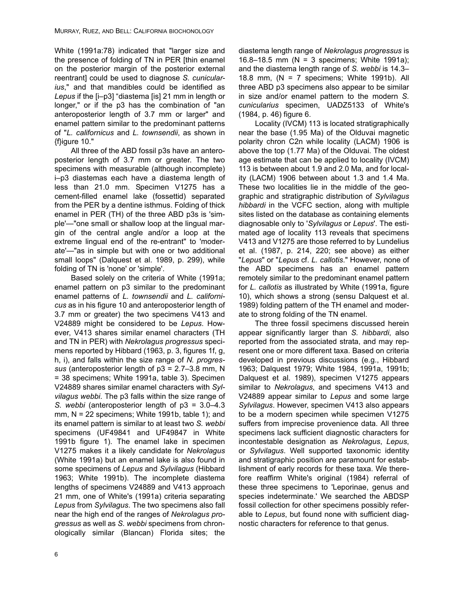White (1991a:78) indicated that "larger size and the presence of folding of TN in PER [thin enamel on the posterior margin of the posterior external reentrant] could be used to diagnose *S. cunicularius*," and that mandibles could be identified as *Lepus* if the [i–p3] "diastema [is] 21 mm in length or longer," or if the p3 has the combination of "an anteroposterior length of 3.7 mm or larger" and enamel pattern similar to the predominant patterns of "*L. californicus* and *L. townsendii*, as shown in {f}igure 10."

All three of the ABD fossil p3s have an anteroposterior length of 3.7 mm or greater. The two specimens with measurable (although incomplete) i–p3 diastemas each have a diastema length of less than 21.0 mm. Specimen V1275 has a cement-filled enamel lake (fossettid) separated from the PER by a dentine isthmus. Folding of thick enamel in PER (TH) of the three ABD p3s is 'simple'—"one small or shallow loop at the lingual margin of the central angle and/or a loop at the extreme lingual end of the re-entrant" to 'moderate'—"as in simple but with one or two additional small loops" (Dalquest et al. 1989, p. 299), while folding of TN is 'none' or 'simple'.

Based solely on the criteria of White (1991a; enamel pattern on p3 similar to the predominant enamel patterns of *L. townsendii* and *L. californicus* as in his figure 10 and anteroposterior length of 3.7 mm or greater) the two specimens V413 and V24889 might be considered to be *Lepus*. However, V413 shares similar enamel characters (TH and TN in PER) with *Nekrolagus progressus* specimens reported by Hibbard (1963, p. 3, figures 1f, g, h, i), and falls within the size range of *N. progressus* (anteroposterior length of p3 = 2.7–3.8 mm, N = 38 specimens; White 1991a, table 3). Specimen V24889 shares similar enamel characters with *Sylvilagus webbi*. The p3 falls within the size range of *S. webbi* (anteroposterior length of p3 = 3.0–4.3 mm,  $N = 22$  specimens; White 1991b, table 1); and its enamel pattern is similar to at least two *S. webbi* specimens (UF49841 and UF49847 in White 1991b figure 1). The enamel lake in specimen V1275 makes it a likely candidate for *Nekrolagus* (White 1991a) but an enamel lake is also found in some specimens of *Lepus* and *Sylvilagus* (Hibbard 1963; White 1991b). The incomplete diastema lengths of specimens V24889 and V413 approach 21 mm, one of White's (1991a) criteria separating *Lepus* from *Sylvilagus*. The two specimens also fall near the high end of the ranges of *Nekrolagus progressus* as well as *S. webbi* specimens from chronologically similar (Blancan) Florida sites; the

diastema length range of *Nekrolagus progressus* is 16.8–18.5 mm (N = 3 specimens; White 1991a); and the diastema length range of *S. webbi* is 14.3– 18.8 mm, ( $N = 7$  specimens; White 1991b). All three ABD p3 specimens also appear to be similar in size and/or enamel pattern to the modern *S. cunicularius* specimen, UADZ5133 of White's (1984, p. 46) figure 6.

Locality (IVCM) 113 is located stratigraphically near the base (1.95 Ma) of the Olduvai magnetic polarity chron C2n while locality (LACM) 1906 is above the top (1.77 Ma) of the Olduvai. The oldest age estimate that can be applied to locality (IVCM) 113 is between about 1.9 and 2.0 Ma, and for locality (LACM) 1906 between about 1.3 and 1.4 Ma. These two localities lie in the middle of the geographic and stratigraphic distribution of *Sylvilagus hibbardi* in the VCFC section, along with multiple sites listed on the database as containing elements diagnosable only to '*Sylvilagus* or *Lepus*'. The estimated age of locality 113 reveals that specimens V413 and V1275 are those referred to by Lundelius et al. (1987, p. 214, 220; see above) as either "*Lepus*" or "*Lepus* cf. *L. callotis*." However, none of the ABD specimens has an enamel pattern remotely similar to the predominant enamel pattern for *L. callotis* as illustrated by White (1991a, figure 10), which shows a strong (sensu Dalquest et al. 1989) folding pattern of the TH enamel and moderate to strong folding of the TN enamel.

The three fossil specimens discussed herein appear significantly larger than *S. hibbardi*, also reported from the associated strata, and may represent one or more different taxa. Based on criteria developed in previous discussions (e.g., Hibbard 1963; Dalquest 1979; White 1984, 1991a, 1991b; Dalquest et al. 1989), specimen V1275 appears similar to *Nekrolagus*, and specimens V413 and V24889 appear similar to *Lepus* and some large *Sylvilagus*. However, specimen V413 also appears to be a modern specimen while specimen V1275 suffers from imprecise provenience data. All three specimens lack sufficient diagnostic characters for incontestable designation as *Nekrolagus*, *Lepus*, or *Sylvilagus*. Well supported taxonomic identity and stratigraphic position are paramount for establishment of early records for these taxa. We therefore reaffirm White's original (1984) referral of these three specimens to 'Leporinae, genus and species indeterminate.' We searched the ABDSP fossil collection for other specimens possibly referable to *Lepus*, but found none with sufficient diagnostic characters for reference to that genus.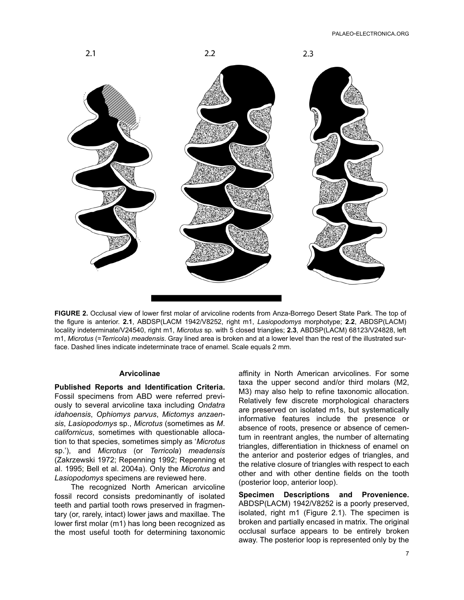

**FIGURE 2.** Occlusal view of lower first molar of arvicoline rodents from Anza-Borrego Desert State Park. The top of the figure is anterior. **2.1**, ABDSP(LACM 1942/V8252, right m1, *Lasiopodomys* morphotype; **2.2**, ABDSP(LACM) locality indeterminate/V24540, right m1, *Microtus* sp. with 5 closed triangles; **2.3**, ABDSP(LACM) 68123/V24828, left m1, *Microtus* (=*Terricola*) *meadensis*. Gray lined area is broken and at a lower level than the rest of the illustrated surface. Dashed lines indicate indeterminate trace of enamel. Scale equals 2 mm.

## **Arvicolinae**

**Published Reports and Identification Criteria.** Fossil specimens from ABD were referred previously to several arvicoline taxa including *Ondatra idahoensis*, *Ophiomys parvus*, *Mictomys anzaensis*, *Lasiopodomys* sp., *Microtus* (sometimes as *M*. *californicus*, sometimes with questionable allocation to that species, sometimes simply as '*Microtus* sp.'), and *Microtus* (or *Terricola*) *meadensis* (Zakrzewski 1972; Repenning 1992; Repenning et al. 1995; Bell et al. 2004a). Only the *Microtus* and *Lasiopodomys* specimens are reviewed here.

The recognized North American arvicoline fossil record consists predominantly of isolated teeth and partial tooth rows preserved in fragmentary (or, rarely, intact) lower jaws and maxillae. The lower first molar (m1) has long been recognized as the most useful tooth for determining taxonomic affinity in North American arvicolines. For some taxa the upper second and/or third molars (M2, M3) may also help to refine taxonomic allocation. Relatively few discrete morphological characters are preserved on isolated m1s, but systematically informative features include the presence or absence of roots, presence or absence of cementum in reentrant angles, the number of alternating triangles, differentiation in thickness of enamel on the anterior and posterior edges of triangles, and the relative closure of triangles with respect to each other and with other dentine fields on the tooth (posterior loop, anterior loop).

**Specimen Descriptions and Provenience.** ABDSP(LACM) 1942/V8252 is a poorly preserved, isolated, right m1 (Figure 2.1). The specimen is broken and partially encased in matrix. The original occlusal surface appears to be entirely broken away. The posterior loop is represented only by the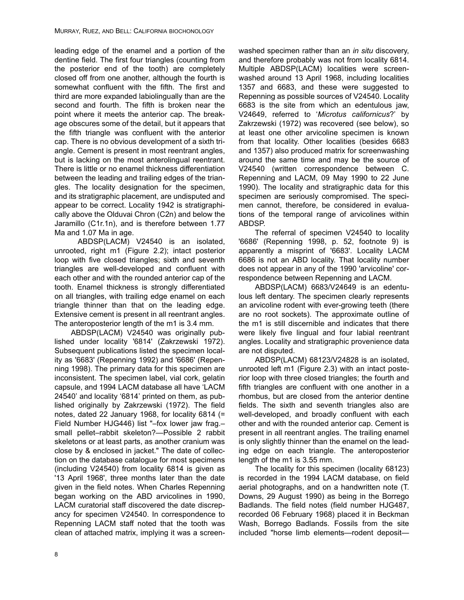leading edge of the enamel and a portion of the dentine field. The first four triangles (counting from the posterior end of the tooth) are completely closed off from one another, although the fourth is somewhat confluent with the fifth. The first and third are more expanded labiolingually than are the second and fourth. The fifth is broken near the point where it meets the anterior cap. The breakage obscures some of the detail, but it appears that the fifth triangle was confluent with the anterior cap. There is no obvious development of a sixth triangle. Cement is present in most reentrant angles, but is lacking on the most anterolingual reentrant. There is little or no enamel thickness differentiation between the leading and trailing edges of the triangles. The locality designation for the specimen, and its stratigraphic placement, are undisputed and appear to be correct. Locality 1942 is stratigraphically above the Olduvai Chron (C2n) and below the Jaramillo (C1r.1n), and is therefore between 1.77 Ma and 1.07 Ma in age.

 ABDSP(LACM) V24540 is an isolated, unrooted, right m1 (Figure 2.2); intact posterior loop with five closed triangles; sixth and seventh triangles are well-developed and confluent with each other and with the rounded anterior cap of the tooth. Enamel thickness is strongly differentiated on all triangles, with trailing edge enamel on each triangle thinner than that on the leading edge. Extensive cement is present in all reentrant angles. The anteroposterior length of the m1 is 3.4 mm.

ABDSP(LACM) V24540 was originally published under locality '6814' (Zakrzewski 1972). Subsequent publications listed the specimen locality as '6683' (Repenning 1992) and '6686' (Repenning 1998). The primary data for this specimen are inconsistent. The specimen label, vial cork, gelatin capsule, and 1994 LACM database all have 'LACM 24540' and locality '6814' printed on them, as published originally by Zakrzewski (1972). The field notes, dated 22 January 1968, for locality 6814 (= Field Number HJG446) list "–fox lower jaw frag.– small pellet–rabbit skeleton?—Possible 2 rabbit skeletons or at least parts, as another cranium was close by & enclosed in jacket." The date of collection on the database catalogue for most specimens (including V24540) from locality 6814 is given as '13 April 1968', three months later than the date given in the field notes. When Charles Repenning began working on the ABD arvicolines in 1990, LACM curatorial staff discovered the date discrepancy for specimen V24540. In correspondence to Repenning LACM staff noted that the tooth was clean of attached matrix, implying it was a screenwashed specimen rather than an *in situ* discovery, and therefore probably was not from locality 6814. Multiple ABDSP(LACM) localities were screenwashed around 13 April 1968, including localities 1357 and 6683, and these were suggested to Repenning as possible sources of V24540. Locality 6683 is the site from which an edentulous jaw, V24649, referred to '*Microtus californicus*?' by Zakrzewski (1972) was recovered (see below), so at least one other arvicoline specimen is known from that locality. Other localities (besides 6683 and 1357) also produced matrix for screenwashing around the same time and may be the source of V24540 (written correspondence between C. Repenning and LACM, 09 May 1990 to 22 June 1990). The locality and stratigraphic data for this specimen are seriously compromised. The specimen cannot, therefore, be considered in evaluations of the temporal range of arvicolines within ABDSP.

The referral of specimen V24540 to locality '6686' (Repenning 1998, p. 52, footnote 9) is apparently a misprint of '6683'. Locality LACM 6686 is not an ABD locality. That locality number does not appear in any of the 1990 'arvicoline' correspondence between Repenning and LACM.

ABDSP(LACM) 6683/V24649 is an edentulous left dentary. The specimen clearly represents an arvicoline rodent with ever-growing teeth (there are no root sockets). The approximate outline of the m1 is still discernible and indicates that there were likely five lingual and four labial reentrant angles. Locality and stratigraphic provenience data are not disputed.

ABDSP(LACM) 68123/V24828 is an isolated, unrooted left m1 (Figure 2.3) with an intact posterior loop with three closed triangles; the fourth and fifth triangles are confluent with one another in a rhombus, but are closed from the anterior dentine fields. The sixth and seventh triangles also are well-developed, and broadly confluent with each other and with the rounded anterior cap. Cement is present in all reentrant angles. The trailing enamel is only slightly thinner than the enamel on the leading edge on each triangle. The anteroposterior length of the m1 is 3.55 mm.

The locality for this specimen (locality 68123) is recorded in the 1994 LACM database, on field aerial photographs, and on a handwritten note (T. Downs, 29 August 1990) as being in the Borrego Badlands. The field notes (field number HJG487, recorded 06 February 1968) placed it in Beckman Wash, Borrego Badlands. Fossils from the site included "horse limb elements—rodent deposit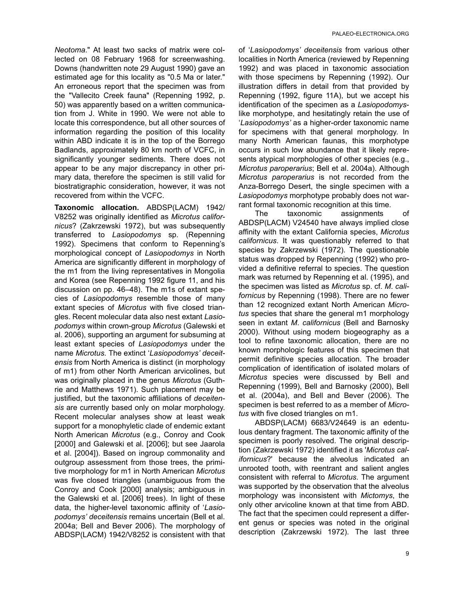*Neotoma*." At least two sacks of matrix were collected on 08 February 1968 for screenwashing. Downs (handwritten note 29 August 1990) gave an estimated age for this locality as "0.5 Ma or later." An erroneous report that the specimen was from the "Vallecito Creek fauna" (Repenning 1992, p. 50) was apparently based on a written communication from J. White in 1990. We were not able to locate this correspondence, but all other sources of information regarding the position of this locality within ABD indicate it is in the top of the Borrego Badlands, approximately 80 km north of VCFC, in significantly younger sediments. There does not appear to be any major discrepancy in other primary data, therefore the specimen is still valid for biostratigraphic consideration, however, it was not recovered from within the VCFC.

**Taxonomic allocation.** ABDSP(LACM) 1942/ V8252 was originally identified as *Microtus californicus*? (Zakrzewski 1972), but was subsequently transferred to *Lasiopodomys* sp. (Repenning 1992). Specimens that conform to Repenning's morphological concept of *Lasiopodomys* in North America are significantly different in morphology of the m1 from the living representatives in Mongolia and Korea (see Repenning 1992 figure 11, and his discussion on pp. 46–48). The m1s of extant species of *Lasiopodomys* resemble those of many extant species of *Microtus* with five closed triangles. Recent molecular data also nest extant *Lasiopodomys* within crown-group *Microtus* (Galewski et al. 2006), supporting an argument for subsuming at least extant species of *Lasiopodomys* under the name *Microtus*. The extinct '*Lasiopodomys' deceitensis* from North America is distinct (in morphology of m1) from other North American arvicolines, but was originally placed in the genus *Microtus* (Guthrie and Matthews 1971). Such placement may be justified, but the taxonomic affiliations of *deceitensis* are currently based only on molar morphology. Recent molecular analyses show at least weak support for a monophyletic clade of endemic extant North American *Microtus* (e.g., Conroy and Cook [2000] and Galewski et al. [2006]; but see Jaarola et al. [2004]). Based on ingroup commonality and outgroup assessment from those trees, the primitive morphology for m1 in North American *Microtus* was five closed triangles (unambiguous from the Conroy and Cook [2000] analysis; ambiguous in the Galewski et al. [2006] trees). In light of these data, the higher-level taxonomic affinity of '*Lasiopodomys' deceitensis* remains uncertain (Bell et al. 2004a; Bell and Bever 2006). The morphology of ABDSP(LACM) 1942/V8252 is consistent with that

of '*Lasiopodomys' deceitensis* from various other localities in North America (reviewed by Repenning 1992) and was placed in taxonomic association with those specimens by Repenning (1992). Our illustration differs in detail from that provided by Repenning (1992, figure 11A), but we accept his identification of the specimen as a *Lasiopodomys*like morphotype, and hesitatingly retain the use of '*Lasiopodomys'* as a higher-order taxonomic name for specimens with that general morphology. In many North American faunas, this morphotype occurs in such low abundance that it likely represents atypical morphologies of other species (e.g., *Microtus paroperarius*; Bell et al. 2004a). Although *Microtus paroperarius* is not recorded from the Anza-Borrego Desert, the single specimen with a *Lasiopodomys* morphotype probably does not warrant formal taxonomic recognition at this time.

The taxonomic assignments of ABDSP(LACM) V24540 have always implied close affinity with the extant California species, *Microtus californicus*. It was questionably referred to that species by Zakrzewski (1972). The questionable status was dropped by Repenning (1992) who provided a definitive referral to species. The question mark was returned by Repenning et al. (1995), and the specimen was listed as *Microtus* sp. cf. *M*. *californicus* by Repenning (1998). There are no fewer than 12 recognized extant North American *Microtus* species that share the general m1 morphology seen in extant *M*. *californicus* (Bell and Barnosky 2000). Without using modern biogeography as a tool to refine taxonomic allocation, there are no known morphologic features of this specimen that permit definitive species allocation. The broader complication of identification of isolated molars of *Microtus* species were discussed by Bell and Repenning (1999), Bell and Barnosky (2000), Bell et al. (2004a), and Bell and Bever (2006). The specimen is best referred to as a member of *Microtus* with five closed triangles on m1.

ABDSP(LACM) 6683/V24649 is an edentulous dentary fragment. The taxonomic affinity of the specimen is poorly resolved. The original description (Zakrzewski 1972) identified it as '*Microtus californicus*?' because the alveolus indicated an unrooted tooth, with reentrant and salient angles consistent with referral to *Microtus*. The argument was supported by the observation that the alveolus morphology was inconsistent with *Mictomys*, the only other arvicoline known at that time from ABD. The fact that the specimen could represent a different genus or species was noted in the original description (Zakrzewski 1972). The last three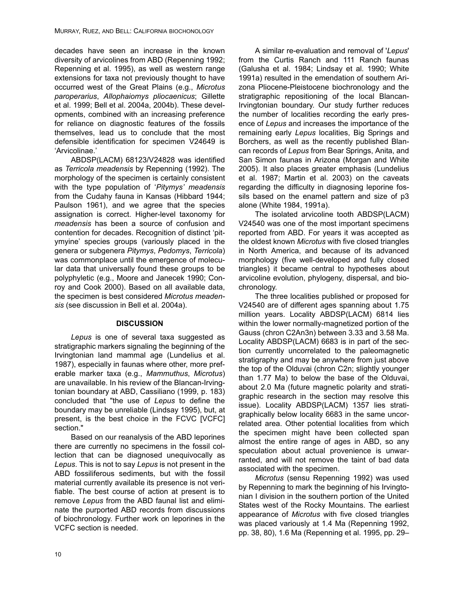decades have seen an increase in the known diversity of arvicolines from ABD (Repenning 1992; Repenning et al. 1995), as well as western range extensions for taxa not previously thought to have occurred west of the Great Plains (e.g., *Microtus paroperarius*, *Allophaiomys pliocaenicus*; Gillette et al. 1999; Bell et al. 2004a, 2004b). These developments, combined with an increasing preference for reliance on diagnostic features of the fossils themselves, lead us to conclude that the most defensible identification for specimen V24649 is 'Arvicolinae.'

ABDSP(LACM) 68123/V24828 was identified as *Terricola meadensis* by Repenning (1992). The morphology of the specimen is certainly consistent with the type population of '*Pitymys' meadensis* from the Cudahy fauna in Kansas (Hibbard 1944; Paulson 1961), and we agree that the species assignation is correct. Higher-level taxonomy for *meadensis* has been a source of confusion and contention for decades. Recognition of distinct 'pitymyine' species groups (variously placed in the genera or subgenera *Pitymys*, *Pedomys*, *Terricola*) was commonplace until the emergence of molecular data that universally found these groups to be polyphyletic (e.g., Moore and Janecek 1990; Conroy and Cook 2000). Based on all available data, the specimen is best considered *Microtus meadensis* (see discussion in Bell et al. 2004a).

## **DISCUSSION**

*Lepus* is one of several taxa suggested as stratigraphic markers signaling the beginning of the Irvingtonian land mammal age (Lundelius et al. 1987), especially in faunas where other, more preferable marker taxa (e.g., *Mammuthus*, *Microtus*) are unavailable. In his review of the Blancan-Irvingtonian boundary at ABD, Cassiliano (1999, p. 183) concluded that "the use of *Lepus* to define the boundary may be unreliable (Lindsay 1995), but, at present, is the best choice in the FCVC [VCFC] section."

Based on our reanalysis of the ABD leporines there are currently no specimens in the fossil collection that can be diagnosed unequivocally as *Lepus*. This is not to say *Lepus* is not present in the ABD fossiliferous sediments, but with the fossil material currently available its presence is not verifiable. The best course of action at present is to remove *Lepus* from the ABD faunal list and eliminate the purported ABD records from discussions of biochronology. Further work on leporines in the VCFC section is needed.

A similar re-evaluation and removal of '*Lepus*' from the Curtis Ranch and 111 Ranch faunas (Galusha et al. 1984; Lindsay et al. 1990; White 1991a) resulted in the emendation of southern Arizona Pliocene-Pleistocene biochronology and the stratigraphic repositioning of the local Blancan-Irvingtonian boundary. Our study further reduces the number of localities recording the early presence of *Lepus* and increases the importance of the remaining early *Lepus* localities, Big Springs and Borchers, as well as the recently published Blancan records of *Lepus* from Bear Springs, Anita, and San Simon faunas in Arizona (Morgan and White 2005). It also places greater emphasis (Lundelius et al. 1987; Martin et al. 2003) on the caveats regarding the difficulty in diagnosing leporine fossils based on the enamel pattern and size of p3 alone (White 1984, 1991a).

The isolated arvicoline tooth ABDSP(LACM) V24540 was one of the most important specimens reported from ABD. For years it was accepted as the oldest known *Microtus* with five closed triangles in North America, and because of its advanced morphology (five well-developed and fully closed triangles) it became central to hypotheses about arvicoline evolution, phylogeny, dispersal, and biochronology.

The three localities published or proposed for V24540 are of different ages spanning about 1.75 million years. Locality ABDSP(LACM) 6814 lies within the lower normally-magnetized portion of the Gauss (chron C2An3n) between 3.33 and 3.58 Ma. Locality ABDSP(LACM) 6683 is in part of the section currently uncorrelated to the paleomagnetic stratigraphy and may be anywhere from just above the top of the Olduvai (chron C2n; slightly younger than 1.77 Ma) to below the base of the Olduvai, about 2.0 Ma (future magnetic polarity and stratigraphic research in the section may resolve this issue). Locality ABDSP(LACM) 1357 lies stratigraphically below locality 6683 in the same uncorrelated area. Other potential localities from which the specimen might have been collected span almost the entire range of ages in ABD, so any speculation about actual provenience is unwarranted, and will not remove the taint of bad data associated with the specimen.

*Microtus* (sensu Repenning 1992) was used by Repenning to mark the beginning of his Irvingtonian I division in the southern portion of the United States west of the Rocky Mountains. The earliest appearance of *Microtus* with five closed triangles was placed variously at 1.4 Ma (Repenning 1992, pp. 38, 80), 1.6 Ma (Repenning et al. 1995, pp. 29–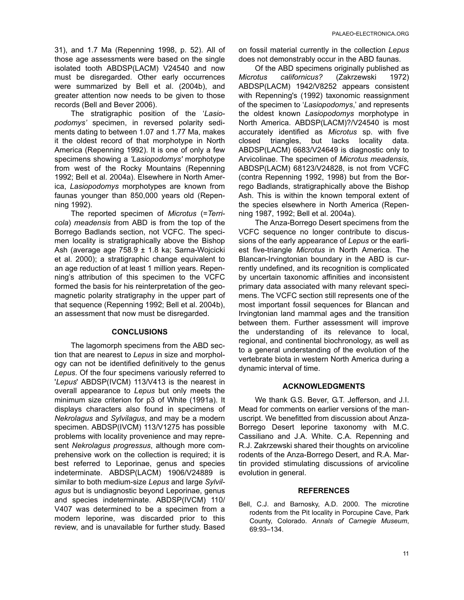31), and 1.7 Ma (Repenning 1998, p. 52). All of those age assessments were based on the single isolated tooth ABDSP(LACM) V24540 and now must be disregarded. Other early occurrences were summarized by Bell et al. (2004b), and greater attention now needs to be given to those records (Bell and Bever 2006).

The stratigraphic position of the '*Lasiopodomys'* specimen, in reversed polarity sediments dating to between 1.07 and 1.77 Ma, makes it the oldest record of that morphotype in North America (Repenning 1992). It is one of only a few specimens showing a *'Lasiopodomys'* morphotype from west of the Rocky Mountains (Repenning 1992; Bell et al. 2004a). Elsewhere in North America, *Lasiopodomys* morphotypes are known from faunas younger than 850,000 years old (Repenning 1992).

The reported specimen of *Microtus* (=*Terricola*) *meadensis* from ABD is from the top of the Borrego Badlands section, not VCFC. The specimen locality is stratigraphically above the Bishop Ash (average age 758.9 ± 1.8 ka; Sarna-Wojcicki et al. 2000); a stratigraphic change equivalent to an age reduction of at least 1 million years. Repenning's attribution of this specimen to the VCFC formed the basis for his reinterpretation of the geomagnetic polarity stratigraphy in the upper part of that sequence (Repenning 1992; Bell et al. 2004b), an assessment that now must be disregarded.

### **CONCLUSIONS**

The lagomorph specimens from the ABD section that are nearest to *Lepus* in size and morphology can not be identified definitively to the genus *Lepus*. Of the four specimens variously referred to '*Lepus*' ABDSP(IVCM) 113/V413 is the nearest in overall appearance to *Lepus* but only meets the minimum size criterion for p3 of White (1991a). It displays characters also found in specimens of *Nekrolagus* and *Sylvilagus*, and may be a modern specimen. ABDSP(IVCM) 113/V1275 has possible problems with locality provenience and may represent *Nekrolagus progressus*, although more comprehensive work on the collection is required; it is best referred to Leporinae, genus and species indeterminate. ABDSP(LACM) 1906/V24889 is similar to both medium-size *Lepus* and large *Sylvilagus* but is undiagnostic beyond Leporinae, genus and species indeterminate. ABDSP(IVCM) 110/ V407 was determined to be a specimen from a modern leporine, was discarded prior to this review, and is unavailable for further study. Based

on fossil material currently in the collection *Lepus* does not demonstrably occur in the ABD faunas.

Of the ABD specimens originally published as *Microtus californicus?* (Zakrzewski 1972) ABDSP(LACM) 1942/V8252 appears consistent with Repenning's (1992) taxonomic reassignment of the specimen to '*Lasiopodomys*,' and represents the oldest known *Lasiopodomys* morphotype in North America. ABDSP(LACM)?/V24540 is most accurately identified as *Microtus* sp. with five closed triangles, but lacks locality data. ABDSP(LACM) 6683/V24649 is diagnostic only to Arvicolinae. The specimen of *Microtus meadensis,* ABDSP(LACM) 68123/V24828, is not from VCFC (contra Repenning 1992, 1998) but from the Borrego Badlands, stratigraphically above the Bishop Ash. This is within the known temporal extent of the species elsewhere in North America (Repenning 1987, 1992; Bell et al. 2004a).

The Anza-Borrego Desert specimens from the VCFC sequence no longer contribute to discussions of the early appearance of *Lepus* or the earliest five-triangle *Microtus* in North America. The Blancan-Irvingtonian boundary in the ABD is currently undefined, and its recognition is complicated by uncertain taxonomic affinities and inconsistent primary data associated with many relevant specimens. The VCFC section still represents one of the most important fossil sequences for Blancan and Irvingtonian land mammal ages and the transition between them. Further assessment will improve the understanding of its relevance to local, regional, and continental biochronology, as well as to a general understanding of the evolution of the vertebrate biota in western North America during a dynamic interval of time.

## **ACKNOWLEDGMENTS**

We thank G.S. Bever, G.T. Jefferson, and J.I. Mead for comments on earlier versions of the manuscript. We benefitted from discussion about Anza-Borrego Desert leporine taxonomy with M.C. Cassiliano and J.A. White. C.A. Repenning and R.J. Zakrzewski shared their thoughts on arvicoline rodents of the Anza-Borrego Desert, and R.A. Martin provided stimulating discussions of arvicoline evolution in general.

### **REFERENCES**

Bell, C.J. and Barnosky, A.D. 2000. The microtine rodents from the Pit locality in Porcupine Cave, Park County, Colorado. *Annals of Carnegie Museum*, 69:93–134.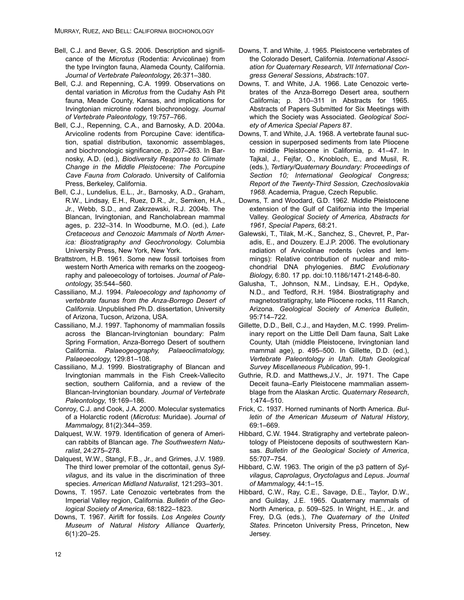- Bell, C.J. and Bever, G.S. 2006. Description and significance of the *Microtus* (Rodentia: Arvicolinae) from the type Irvington fauna, Alameda County, California. *Journal of Vertebrate Paleontology*, 26:371–380.
- Bell, C.J. and Repenning, C.A. 1999. Observations on dental variation in *Microtus* from the Cudahy Ash Pit fauna, Meade County, Kansas, and implications for Irvingtonian microtine rodent biochronology. *Journal of Vertebrate Paleontology*, 19:757–766.
- Bell, C.J., Repenning, C.A., and Barnosky, A.D. 2004a. Arvicoline rodents from Porcupine Cave: identification, spatial distribution, taxonomic assemblages, and biochronologic significance, p. 207–263. In Barnosky, A.D. (ed.), *Biodiversity Response to Climate Change in the Middle Pleistocene: The Porcupine Cave Fauna from Colorado*. University of California Press, Berkeley, California.
- Bell, C.J., Lundelius, E.L., Jr., Barnosky, A.D., Graham, R.W., Lindsay, E.H., Ruez, D.R., Jr., Semken, H.A., Jr., Webb, S.D., and Zakrzewski, R.J. 2004b. The Blancan, Irvingtonian, and Rancholabrean mammal ages, p. 232–314. In Woodburne, M.O. (ed.), *Late Cretaceous and Cenozoic Mammals of North America: Biostratigraphy and Geochronology*. Columbia University Press, New York, New York.
- Brattstrom, H.B. 1961. Some new fossil tortoises from western North America with remarks on the zoogeography and paleoecology of tortoises. *Journal of Paleontology*, 35:544–560.
- Cassiliano, M.J. 1994. *Paleoecology and taphonomy of vertebrate faunas from the Anza-Borrego Desert of California*. Unpublished Ph.D. dissertation, University of Arizona, Tucson, Arizona, USA.
- Cassiliano, M.J. 1997. Taphonomy of mammalian fossils across the Blancan-Irvingtonian boundary: Palm Spring Formation, Anza-Borrego Desert of southern California. *Palaeogeography, Palaeoclimatology, Palaeoecology*, 129:81–108.
- Cassiliano, M.J. 1999. Biostratigraphy of Blancan and Irvingtonian mammals in the Fish Creek-Vallecito section, southern California, and a review of the Blancan-Irvingtonian boundary. *Journal of Vertebrate Paleontology*, 19:169–186.
- Conroy, C.J. and Cook, J.A. 2000. Molecular systematics of a Holarctic rodent (*Microtus*: Muridae). *Journal of Mammalogy*, 81(2):344–359.
- Dalquest, W.W. 1979. Identification of genera of American rabbits of Blancan age. *The Southwestern Naturalist*, 24:275–278.
- Dalquest, W.W., Stangl, F.B., Jr., and Grimes, J.V. 1989. The third lower premolar of the cottontail, genus *Sylvilagus*, and its value in the discrimination of three species. *American Midland Naturalist*, 121:293–301.
- Downs, T. 1957. Late Cenozoic vertebrates from the Imperial Valley region, California. *Bulletin of the Geological Society of America*, 68:1822–1823.
- Downs, T. 1967. Airlift for fossils. *Los Angeles County Museum of Natural History Alliance Quarterly*, 6(1):20–25.
- Downs, T. and White, J. 1965. Pleistocene vertebrates of the Colorado Desert, California. *International Association for Quaternary Research, VII International Congress General Sessions*, *Abstract*s:107.
- Downs, T. and White, J.A. 1966. Late Cenozoic vertebrates of the Anza-Borrego Desert area, southern California; p. 310–311 in Abstracts for 1965. Abstracts of Papers Submitted for Six Meetings with which the Society was Associated. *Geological Society of America Special Papers* 87.
- Downs, T. and White, J.A. 1968. A vertebrate faunal succession in superposed sediments from late Pliocene to middle Pleistocene in California, p. 41–47. In Tajkal, J., Fejfar, O., Knobloch, E., and Musil, R. (eds.), *Tertiary/Quaternary Boundary: Proceedings of Section 10; International Geological Congress; Report of the Twenty-Third Session, Czechoslovakia 1968*. Academia, Prague, Czech Republic.
- Downs, T. and Woodard, G.D. 1962. Middle Pleistocene extension of the Gulf of California into the Imperial Valley. *Geological Society of America, Abstracts for 1961, Special Papers*, 68:21.
- Galewski, T., Tilak, M.-K., Sanchez, S., Chevret, P., Paradis, E., and Douzery. E.J.P. 2006. The evolutionary radiation of Arvicolinae rodents (voles and lemmings): Relative contribution of nuclear and mitochondrial DNA phylogenies. *BMC Evolutionary Biology*, 6:80. 17 pp. doi:10.1186/1471-2148-6-80.
- Galusha, T., Johnson, N.M., Lindsay, E.H., Opdyke, N.D., and Tedford, R.H. 1984. Biostratigraphy and magnetostratigraphy, late Pliocene rocks, 111 Ranch, Arizona. *Geological Society of America Bulletin*, 95:714–722.
- Gillette, D.D., Bell, C.J., and Hayden, M.C. 1999. Preliminary report on the Little Dell Dam fauna, Salt Lake County, Utah (middle Pleistocene, Irvingtonian land mammal age), p. 495–500. In Gillette, D.D. (ed.), *Vertebrate Paleontology in Utah*. *Utah Geological Survey Miscellaneous Publication*, 99-1.
- Guthrie, R.D. and Matthews,J.V., Jr. 1971. The Cape Deceit fauna–Early Pleistocene mammalian assemblage from the Alaskan Arctic. *Quaternary Research*, 1:474–510.
- Frick, C. 1937. Horned ruminants of North America. *Bulletin of the American Museum of Natural History*, 69:1–669.
- Hibbard, C.W. 1944. Stratigraphy and vertebrate paleontology of Pleistocene deposits of southwestern Kansas. *Bulletin of the Geological Society of America*, 55:707–754.
- Hibbard, C.W. 1963. The origin of the p3 pattern of *Sylvilagus*, *Caprolagus*, *Oryctolagus* and *Lepus*. *Journal of Mammalogy*, 44:1–15.
- Hibbard, C.W., Ray, C.E., Savage, D.E., Taylor, D.W., and Guilday, J.E. 1965. Quaternary mammals of North America, p. 509–525. In Wright, H.E., Jr. and Frey, D.G. (eds.), *The Quaternary of the United States*. Princeton University Press, Princeton, New Jersey.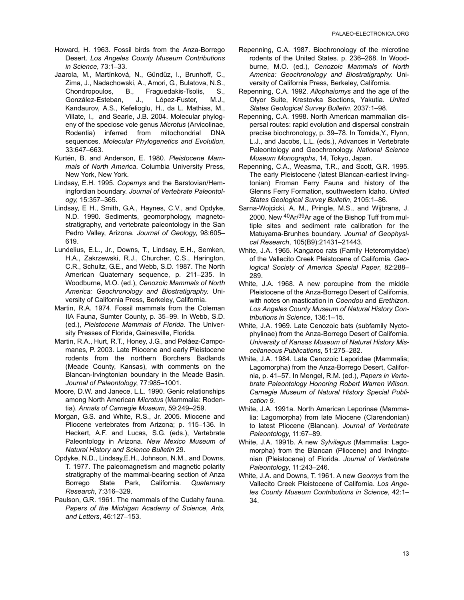- Howard, H. 1963. Fossil birds from the Anza-Borrego Desert. *Los Angeles County Museum Contributions in Science*, 73:1–33.
- Jaarola, M., Martínková, N., Gündüz, I., Brunhoff, C., Zima, J., Nadachowski, A., Amori, G., Bulatova, N.S., Chondropoulos, B., Fraguedakis-Tsolis, S., González-Esteban, J., López-Fuster, M.J., Kandaurov, A.S., Kefelioglu, H., da L. Mathias, M., Villate, I., and Searle, J.B. 2004. Molecular phylogeny of the speciose vole genus *Microtus* (Arvicolinae, Rodentia) inferred from mitochondrial DNA sequences. *Molecular Phylogenetics and Evolution*, 33:647–663.
- Kurtén, B. and Anderson, E. 1980. *Pleistocene Mammals of North America*. Columbia University Press, New York, New York.
- Lindsay, E.H. 1995. *Copemys* and the Barstovian/Hemingfordian boundary. *Journal of Vertebrate Paleontology*, 15:357–365.
- Lindsay, E H., Smith, G.A., Haynes, C.V., and Opdyke, N.D. 1990. Sediments, geomorphology, magnetostratigraphy, and vertebrate paleontology in the San Pedro Valley, Arizona. *Journal of Geology*, 98:605– 619.
- Lundelius, E.L., Jr., Downs, T., Lindsay, E.H., Semken, H.A., Zakrzewski, R.J., Churcher, C.S., Harington, C.R., Schultz, G.E., and Webb, S.D. 1987. The North American Quaternary sequence, p. 211–235. In Woodburne, M.O. (ed.), *Cenozoic Mammals of North America: Geochronology and Biostratigraphy*. University of California Press, Berkeley, California.
- Martin, R.A. 1974. Fossil mammals from the Coleman IIA Fauna, Sumter County, p. 35–99. In Webb, S.D. (ed.), *Pleistocene Mammals of Florida*. The University Presses of Florida, Gainesville, Florida.
- Martin, R.A., Hurt, R.T., Honey, J.G., and Peláez-Campomanes, P. 2003. Late Pliocene and early Pleistocene rodents from the northern Borchers Badlands (Meade County, Kansas), with comments on the Blancan-Irvingtonian boundary in the Meade Basin. *Journal of Paleontology*, 77:985–1001.
- Moore, D.W. and Janece, L.L. 1990. Genic relationships among North American *Microtus* (Mammalia: Rodentia). *Annals of Carnegie Museum*, 59:249–259.
- Morgan, G.S. and White, R.S., Jr. 2005. Miocene and Pliocene vertebrates from Arizona; p. 115–136. In Heckert, A.F. and Lucas, S.G. (eds.), Vertebrate Paleontology in Arizona. *New Mexico Museum of Natural History and Science Bulletin* 29.
- Opdyke, N.D., Lindsay,E.H., Johnson, N.M., and Downs, T. 1977. The paleomagnetism and magnetic polarity stratigraphy of the mammal-bearing section of Anza Borrego State Park, California. *Quaternary Research*, 7:316–329.
- Paulson, G.R. 1961. The mammals of the Cudahy fauna. *Papers of the Michigan Academy of Science, Arts, and Letters*, 46:127–153.
- Repenning, C.A. 1987. Biochronology of the microtine rodents of the United States. p. 236–268. In Woodburne, M.O. (ed.), *Cenozoic Mammals of North America: Geochronology and Biostratigraphy*. University of California Press, Berkeley, California.
- Repenning, C.A. 1992. *Allophaiomys* and the age of the Olyor Suite, Krestovka Sections, Yakutia. *United States Geological Survey Bulletin*, 2037:1–98.
- Repenning, C.A. 1998. North American mammalian dispersal routes: rapid evolution and dispersal constrain precise biochronology, p. 39–78. In Tomida,Y., Flynn, L.J., and Jacobs, L.L. (eds.), Advances in Vertebrate Paleontology and Geochronology. *National Science Museum Monographs*, 14, Tokyo, Japan.
- Repenning, C.A., Weasma, T.R., and Scott, G.R. 1995. The early Pleistocene (latest Blancan-earliest Irvingtonian) Froman Ferry Fauna and history of the Glenns Ferry Formation, southwestern Idaho. *United States Geological Survey Bulletin*, 2105:1–86.
- Sarna-Wojcicki, A. M., Pringle, M.S., and Wijbrans, J. 2000. New 40Ar/39Ar age of the Bishop Tuff from multiple sites and sediment rate calibration for the Matuyama-Brunhes boundary. *Journal of Geophysical Research*, 105(B9):21431–21443.
- White, J.A. 1965. Kangaroo rats (Family Heteromyidae) of the Vallecito Creek Pleistocene of California. *Geological Society of America Special Paper*, 82:288– 289.
- White, J.A. 1968. A new porcupine from the middle Pleistocene of the Anza-Borrego Desert of California, with notes on mastication in *Coendou* and *Erethizon*. *Los Angeles County Museum of Natural History Contributions in Science*, 136:1–15.
- White, J.A. 1969. Late Cenozoic bats (subfamily Nyctophylinae) from the Anza-Borrego Desert of California. *University of Kansas Museum of Natural History Miscellaneous Publications*, 51:275–282.
- White, J.A. 1984. Late Cenozoic Leporidae (Mammalia; Lagomorpha) from the Anza-Borrego Desert, California, p. 41–57. In Mengel, R.M. (ed.), *Papers in Vertebrate Paleontology Honoring Robert Warren Wilson. Carnegie Museum of Natural History Special Publication 9.*
- White, J.A. 1991a. North American Leporinae (Mammalia: Lagomorpha) from late Miocene (Clarendonian) to latest Pliocene (Blancan). *Journal of Vertebrate Paleontology*, 11:67–89.
- White, J.A. 1991b. A new *Sylvilagus* (Mammalia: Lagomorpha) from the Blancan (Pliocene) and Irvingtonian (Pleistocene) of Florida. *Journal of Vertebrate Paleontology*, 11:243–246.
- White, J.A. and Downs, T. 1961. A new *Geomys* from the Vallecito Creek Pleistocene of California. *Los Angeles County Museum Contributions in Science*, 42:1– 34.